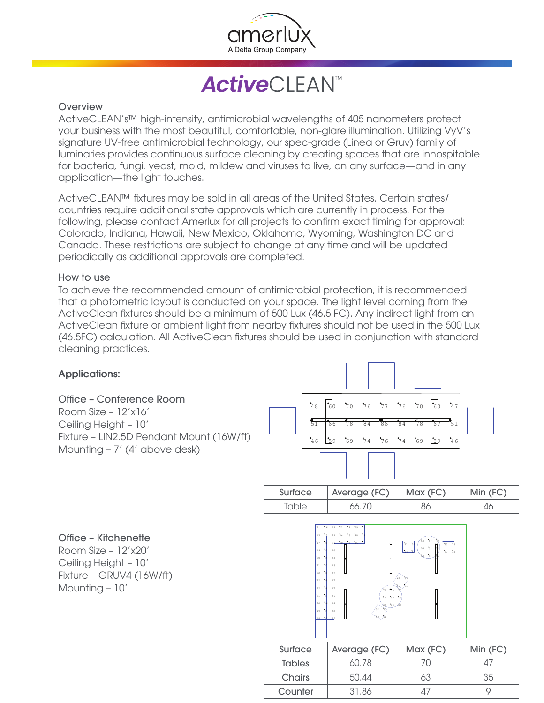

**ActiveCLEAN<sup>™</sup>** 

## **Overview**

ActiveCLEAN's™ high-intensity, antimicrobial wavelengths of 405 nanometers protect your business with the most beautiful, comfortable, non-glare illumination. Utilizing VyV's signature UV-free antimicrobial technology, our spec-grade (Linea or Gruv) family of luminaries provides continuous surface cleaning by creating spaces that are inhospitable for bacteria, fungi, yeast, mold, mildew and viruses to live, on any surface—and in any application—the light touches.

ActiveCLEAN™ fixtures may be sold in all areas of the United States. Certain states/ countries require additional state approvals which are currently in process. For the following, please contact Amerlux for all projects to confirm exact timing for approval: Colorado, Indiana, Hawaii, New Mexico, Oklahoma, Wyoming, Washington DC and Canada. These restrictions are subject to change at any time and will be updated periodically as additional approvals are completed.

## How to use

To achieve the recommended amount of antimicrobial protection, it is recommended that a photometric layout is conducted on your space. The light level coming from the ActiveClean fixtures should be a minimum of 500 Lux (46.5 FC). Any indirect light from an ActiveClean fixture or ambient light from nearby fixtures should not be used in the 500 Lux (46.5FC) calculation. All ActiveClean fixtures should be used in conjunction with standard cleaning practices.



Counter 31.86 47 9